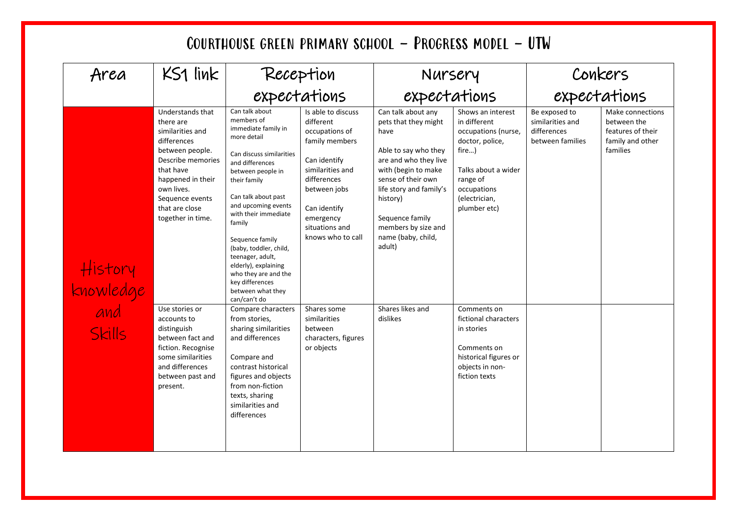| Area                                         | $KS1$ link                                                                                                                                                                                                         |                                                                                                                                                                                                                                                                                                                                                                                                                 |                                                                                                                                                                                                            | Nursery                                                                                                                                                                                                                                                           |                                                                                                                                                                         | Conkers                                                              |                                                                                      |
|----------------------------------------------|--------------------------------------------------------------------------------------------------------------------------------------------------------------------------------------------------------------------|-----------------------------------------------------------------------------------------------------------------------------------------------------------------------------------------------------------------------------------------------------------------------------------------------------------------------------------------------------------------------------------------------------------------|------------------------------------------------------------------------------------------------------------------------------------------------------------------------------------------------------------|-------------------------------------------------------------------------------------------------------------------------------------------------------------------------------------------------------------------------------------------------------------------|-------------------------------------------------------------------------------------------------------------------------------------------------------------------------|----------------------------------------------------------------------|--------------------------------------------------------------------------------------|
|                                              |                                                                                                                                                                                                                    | Reception<br>expectations                                                                                                                                                                                                                                                                                                                                                                                       |                                                                                                                                                                                                            | expectations                                                                                                                                                                                                                                                      |                                                                                                                                                                         | expectations                                                         |                                                                                      |
| History<br>knowledge<br>and<br><b>Skills</b> | Understands that<br>there are<br>similarities and<br>differences<br>between people.<br>Describe memories<br>that have<br>happened in their<br>own lives.<br>Sequence events<br>that are close<br>together in time. | Can talk about<br>members of<br>immediate family in<br>more detail<br>Can discuss similarities<br>and differences<br>between people in<br>their family<br>Can talk about past<br>and upcoming events<br>with their immediate<br>family<br>Sequence family<br>(baby, toddler, child,<br>teenager, adult,<br>elderly), explaining<br>who they are and the<br>key differences<br>between what they<br>can/can't do | Is able to discuss<br>different<br>occupations of<br>family members<br>Can identify<br>similarities and<br>differences<br>between jobs<br>Can identify<br>emergency<br>situations and<br>knows who to call | Can talk about any<br>pets that they might<br>have<br>Able to say who they<br>are and who they live<br>with (begin to make<br>sense of their own<br>life story and family's<br>history)<br>Sequence family<br>members by size and<br>name (baby, child,<br>adult) | Shows an interest<br>in different<br>occupations (nurse,<br>doctor, police,<br>fire)<br>Talks about a wider<br>range of<br>occupations<br>(electrician,<br>plumber etc) | Be exposed to<br>similarities and<br>differences<br>between families | Make connections<br>between the<br>features of their<br>family and other<br>families |
|                                              | Use stories or<br>accounts to<br>distinguish<br>between fact and<br>fiction. Recognise<br>some similarities<br>and differences<br>between past and<br>present.                                                     | Compare characters<br>from stories,<br>sharing similarities<br>and differences<br>Compare and<br>contrast historical<br>figures and objects<br>from non-fiction<br>texts, sharing<br>similarities and<br>differences                                                                                                                                                                                            | Shares some<br>similarities<br>between<br>characters, figures<br>or objects                                                                                                                                | Shares likes and<br>dislikes                                                                                                                                                                                                                                      | Comments on<br>fictional characters<br>in stories<br>Comments on<br>historical figures or<br>objects in non-<br>fiction texts                                           |                                                                      |                                                                                      |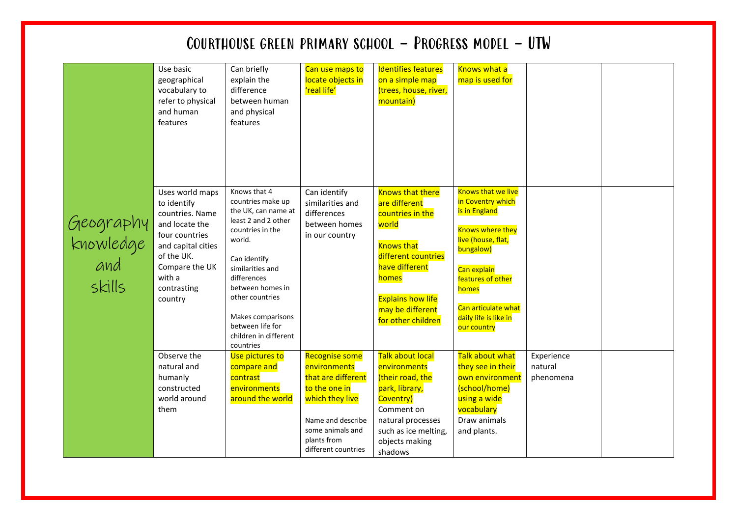|                                         | Use basic<br>geographical<br>vocabulary to<br>refer to physical<br>and human<br>features                                                                                        | Can briefly<br>explain the<br>difference<br>between human<br>and physical<br>features                                                                                                                                                                                                  | Can use maps to<br>locate objects in<br>'real life'                                                                                                                            | <b>Identifies features</b><br>on a simple map<br>(trees, house, river,<br>mountain)                                                                                                                                | <b>Knows what a</b><br>map is used for                                                                                                                                                                                                    |                                    |  |
|-----------------------------------------|---------------------------------------------------------------------------------------------------------------------------------------------------------------------------------|----------------------------------------------------------------------------------------------------------------------------------------------------------------------------------------------------------------------------------------------------------------------------------------|--------------------------------------------------------------------------------------------------------------------------------------------------------------------------------|--------------------------------------------------------------------------------------------------------------------------------------------------------------------------------------------------------------------|-------------------------------------------------------------------------------------------------------------------------------------------------------------------------------------------------------------------------------------------|------------------------------------|--|
| Geography<br>knowledge<br>and<br>skills | Uses world maps<br>to identify<br>countries. Name<br>and locate the<br>four countries<br>and capital cities<br>of the UK.<br>Compare the UK<br>with a<br>contrasting<br>country | Knows that 4<br>countries make up<br>the UK, can name at<br>least 2 and 2 other<br>countries in the<br>world.<br>Can identify<br>similarities and<br>differences<br>between homes in<br>other countries<br>Makes comparisons<br>between life for<br>children in different<br>countries | Can identify<br>similarities and<br>differences<br>between homes<br>in our country                                                                                             | <b>Knows that there</b><br>are different<br>countries in the<br>world<br><b>Knows that</b><br>different countries<br>have different<br>homes<br><b>Explains how life</b><br>may be different<br>for other children | <b>Knows that we live</b><br>in Coventry which<br>is in England<br><b>Knows where they</b><br>live (house, flat,<br>bungalow)<br>Can explain<br>features of other<br>homes<br>Can articulate what<br>daily life is like in<br>our country |                                    |  |
|                                         | Observe the<br>natural and<br>humanly<br>constructed<br>world around<br>them                                                                                                    | Use pictures to<br>compare and<br>contrast<br>environments<br>around the world                                                                                                                                                                                                         | <b>Recognise some</b><br>environments<br>that are different<br>to the one in<br>which they live<br>Name and describe<br>some animals and<br>plants from<br>different countries | <b>Talk about local</b><br>environments<br>(their road, the<br>park, library,<br>Coventry)<br>Comment on<br>natural processes<br>such as ice melting,<br>objects making<br>shadows                                 | <b>Talk about what</b><br>they see in their<br>own environment<br>(school/home)<br>using a wide<br>vocabulary<br>Draw animals<br>and plants.                                                                                              | Experience<br>natural<br>phenomena |  |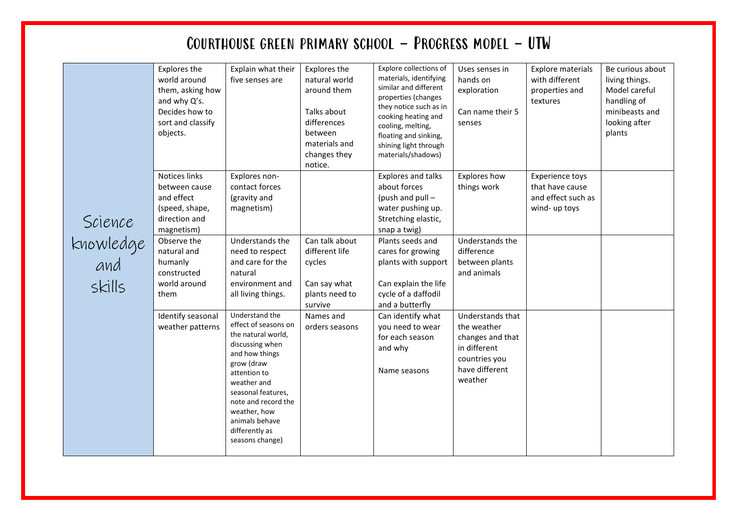|  | Explores the<br>world around<br>them, asking how<br>and why Q's.<br>Decides how to<br>sort and classify<br>objects. | Explain what their<br>five senses are                                                         | Explores the<br>natural world<br>around them<br>Talks about<br>differences<br>between<br>materials and<br>changes they<br>notice.                                                                                                                                  | Explore collections of<br>materials, identifying<br>similar and different<br>properties (changes<br>they notice such as in<br>cooking heating and<br>cooling, melting,<br>floating and sinking,<br>shining light through<br>materials/shadows) | Uses senses in<br>hands on<br>exploration<br>Can name their 5<br>senses                                                        | Explore materials<br>with different<br>properties and<br>textures                                                 | Be curious about<br>living things.<br>Model careful<br>handling of<br>minibeasts and<br>looking after<br>plants |  |
|--|---------------------------------------------------------------------------------------------------------------------|-----------------------------------------------------------------------------------------------|--------------------------------------------------------------------------------------------------------------------------------------------------------------------------------------------------------------------------------------------------------------------|------------------------------------------------------------------------------------------------------------------------------------------------------------------------------------------------------------------------------------------------|--------------------------------------------------------------------------------------------------------------------------------|-------------------------------------------------------------------------------------------------------------------|-----------------------------------------------------------------------------------------------------------------|--|
|  |                                                                                                                     | Notices links<br>between cause<br>and effect<br>(speed, shape,<br>direction and<br>magnetism) | Explores non-<br>contact forces<br>(gravity and<br>magnetism)                                                                                                                                                                                                      |                                                                                                                                                                                                                                                | Explores and talks<br>about forces<br>(push and pull -<br>water pushing up.<br>Stretching elastic,<br>snap a twig)             | Explores how<br>things work                                                                                       | <b>Experience toys</b><br>that have cause<br>and effect such as<br>wind- up toys                                |  |
|  | Science<br>knowledge<br>and<br>skills                                                                               | Observe the<br>natural and<br>humanly<br>constructed<br>world around<br>them                  | Understands the<br>need to respect<br>and care for the<br>natural<br>environment and<br>all living things.                                                                                                                                                         | Can talk about<br>different life<br>cycles<br>Can say what<br>plants need to<br>survive                                                                                                                                                        | Plants seeds and<br>cares for growing<br>plants with support<br>Can explain the life<br>cycle of a daffodil<br>and a butterfly | Understands the<br>difference<br>between plants<br>and animals                                                    |                                                                                                                 |  |
|  |                                                                                                                     | Identify seasonal<br>weather patterns                                                         | Understand the<br>effect of seasons on<br>the natural world,<br>discussing when<br>and how things<br>grow (draw<br>attention to<br>weather and<br>seasonal features,<br>note and record the<br>weather, how<br>animals behave<br>differently as<br>seasons change) | Names and<br>orders seasons                                                                                                                                                                                                                    | Can identify what<br>you need to wear<br>for each season<br>and why<br>Name seasons                                            | Understands that<br>the weather<br>changes and that<br>in different<br>countries you<br>have different<br>weather |                                                                                                                 |  |